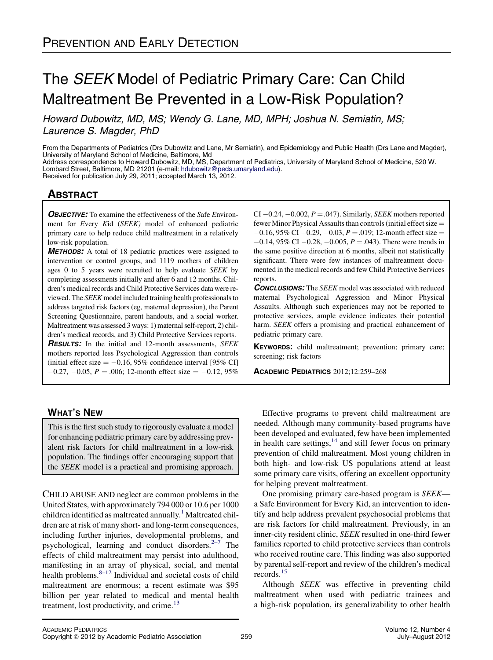# The SEEK Model of Pediatric Primary Care: Can Child Maltreatment Be Prevented in a Low-Risk Population?

Howard Dubowitz, MD, MS; Wendy G. Lane, MD, MPH; Joshua N. Semiatin, MS; Laurence S. Magder, PhD

From the Departments of Pediatrics (Drs Dubowitz and Lane, Mr Semiatin), and Epidemiology and Public Health (Drs Lane and Magder), University of Maryland School of Medicine, Baltimore, Md

Address correspondence to Howard Dubowitz, MD, MS, Department of Pediatrics, University of Maryland School of Medicine, 520 W. Lombard Street, Baltimore, MD 21201 (e-mail: [hdubowitz@peds.umaryland.edu](mailto:hdubowitz@peds.umaryland.edu)).

Received for publication July 29, 2011; accepted March 13, 2012.

# **ABSTRACT**

**OBJECTIVE:** To examine the effectiveness of the Safe Environment for Every Kid (SEEK) model of enhanced pediatric primary care to help reduce child maltreatment in a relatively low-risk population.

**METHODS:** A total of 18 pediatric practices were assigned to intervention or control groups, and 1119 mothers of children ages 0 to 5 years were recruited to help evaluate SEEK by completing assessments initially and after 6 and 12 months. Children's medical records and Child Protective Services data were reviewed. The SEEK model included training health professionals to address targeted risk factors (eg, maternal depression), the Parent Screening Questionnaire, parent handouts, and a social worker. Maltreatment was assessed 3 ways: 1) maternal self-report, 2) children's medical records, and 3) Child Protective Services reports. **RESULTS:** In the initial and 12-month assessments, SEEK mothers reported less Psychological Aggression than controls

(initial effect size  $= -0.16, 95\%$  confidence interval [95% CI]  $-0.27, -0.05, P = 0.006; 12$ -month effect size  $= -0.12, 95\%$ 

# WHAT'S NEW

This is the first such study to rigorously evaluate a model for enhancing pediatric primary care by addressing prevalent risk factors for child maltreatment in a low-risk population. The findings offer encouraging support that the SEEK model is a practical and promising approach.

CHILD ABUSE AND neglect are common problems in the United States, with approximately 794 000 or 10.6 per 1000 children identified as maltreated annually.<sup>[1](#page-8-0)</sup> Maltreated children are at risk of many short- and long-term consequences, including further injuries, developmental problems, and psychological, learning and conduct disorders.<sup>2-7</sup> The effects of child maltreatment may persist into adulthood, manifesting in an array of physical, social, and mental health problems. $8-12$  Individual and societal costs of child maltreatment are enormous; a recent estimate was \$95 billion per year related to medical and mental health treatment, lost productivity, and crime.<sup>[13](#page-8-0)</sup>

CI  $-0.24, -0.002, P = .047$ . Similarly, *SEEK* mothers reported fewer Minor Physical Assaults than controls (initial effect size  $=$  $-0.16$ , 95% CI  $-0.29$ ,  $-0.03$ ,  $P = .019$ ; 12-month effect size  $=$  $-0.14$ , 95% CI  $-0.28$ ,  $-0.005$ ,  $P = .043$ ). There were trends in the same positive direction at 6 months, albeit not statistically significant. There were few instances of maltreatment documented in the medical records and few Child Protective Services reports.

**CONCLUSIONS:** The *SEEK* model was associated with reduced maternal Psychological Aggression and Minor Physical Assaults. Although such experiences may not be reported to protective services, ample evidence indicates their potential harm. SEEK offers a promising and practical enhancement of pediatric primary care.

KEYWORDS: child maltreatment; prevention; primary care; screening; risk factors

ACADEMIC PEDIATRICS 2012;12:259–268

Effective programs to prevent child maltreatment are needed. Although many community-based programs have been developed and evaluated, few have been implemented in health care settings, $14$  and still fewer focus on primary prevention of child maltreatment. Most young children in both high- and low-risk US populations attend at least some primary care visits, offering an excellent opportunity for helping prevent maltreatment.

One promising primary care-based program is SEEK a Safe Environment for Every Kid, an intervention to identify and help address prevalent psychosocial problems that are risk factors for child maltreatment. Previously, in an inner-city resident clinic, SEEK resulted in one-third fewer families reported to child protective services than controls who received routine care. This finding was also supported by parental self-report and review of the children's medical records.[15](#page-8-0)

Although SEEK was effective in preventing child maltreatment when used with pediatric trainees and a high-risk population, its generalizability to other health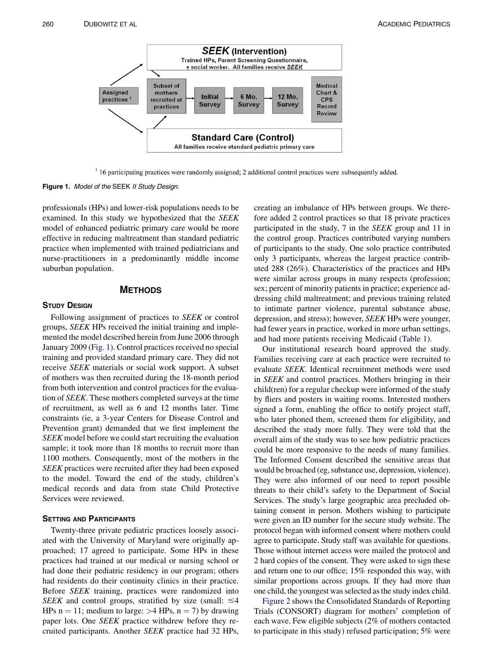

<sup>1</sup> 16 participating practices were randomly assigned; 2 additional control practices were subsequently added.

Figure 1. Model of the SEEK II Study Design.

professionals (HPs) and lower-risk populations needs to be examined. In this study we hypothesized that the SEEK model of enhanced pediatric primary care would be more effective in reducing maltreatment than standard pediatric practice when implemented with trained pediatricians and nurse-practitioners in a predominantly middle income suburban population.

#### **METHODS**

#### **STUDY DESIGN**

Following assignment of practices to SEEK or control groups, SEEK HPs received the initial training and implemented the model described herein from June 2006 through January 2009 (Fig. 1). Control practices received no special training and provided standard primary care. They did not receive SEEK materials or social work support. A subset of mothers was then recruited during the 18-month period from both intervention and control practices for the evaluation of SEEK. These mothers completed surveys at the time of recruitment, as well as 6 and 12 months later. Time constraints (ie, a 3-year Centers for Disease Control and Prevention grant) demanded that we first implement the SEEK model before we could start recruiting the evaluation sample; it took more than 18 months to recruit more than 1100 mothers. Consequently, most of the mothers in the SEEK practices were recruited after they had been exposed to the model. Toward the end of the study, children's medical records and data from state Child Protective Services were reviewed.

#### **SETTING AND PARTICIPANTS**

Twenty-three private pediatric practices loosely associated with the University of Maryland were originally approached; 17 agreed to participate. Some HPs in these practices had trained at our medical or nursing school or had done their pediatric residency in our program; others had residents do their continuity clinics in their practice. Before SEEK training, practices were randomized into SEEK and control groups, stratified by size (small:  $\leq 4$ ) HPs n = 11; medium to large:  $>4$  HPs, n = 7) by drawing paper lots. One SEEK practice withdrew before they recruited participants. Another SEEK practice had 32 HPs,

creating an imbalance of HPs between groups. We therefore added 2 control practices so that 18 private practices participated in the study, 7 in the SEEK group and 11 in the control group. Practices contributed varying numbers of participants to the study. One solo practice contributed only 3 participants, whereas the largest practice contributed 288 (26%). Characteristics of the practices and HPs were similar across groups in many respects (profession; sex; percent of minority patients in practice; experience addressing child maltreatment; and previous training related to intimate partner violence, parental substance abuse, depression, and stress); however, SEEK HPs were younger, had fewer years in practice, worked in more urban settings, and had more patients receiving Medicaid [\(Table 1](#page-2-0)).

Our institutional research board approved the study. Families receiving care at each practice were recruited to evaluate SEEK. Identical recruitment methods were used in SEEK and control practices. Mothers bringing in their child(ren) for a regular checkup were informed of the study by fliers and posters in waiting rooms. Interested mothers signed a form, enabling the office to notify project staff, who later phoned them, screened them for eligibility, and described the study more fully. They were told that the overall aim of the study was to see how pediatric practices could be more responsive to the needs of many families. The Informed Consent described the sensitive areas that would be broached (eg, substance use, depression, violence). They were also informed of our need to report possible threats to their child's safety to the Department of Social Services. The study's large geographic area precluded obtaining consent in person. Mothers wishing to participate were given an ID number for the secure study website. The protocol began with informed consent where mothers could agree to participate. Study staff was available for questions. Those without internet access were mailed the protocol and 2 hard copies of the consent. They were asked to sign these and return one to our office; 15% responded this way, with similar proportions across groups. If they had more than one child, the youngest was selected as the study index child.

[Figure 2](#page-3-0) shows the Consolidated Standards of Reporting Trials (CONSORT) diagram for mothers' completion of each wave. Few eligible subjects (2% of mothers contacted to participate in this study) refused participation; 5% were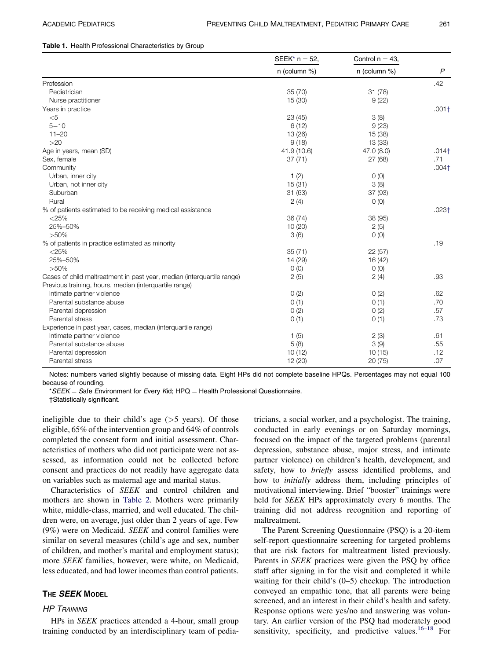#### <span id="page-2-0"></span>Table 1. Health Professional Characteristics by Group

|                                                                        | $SEEK^*$ n = 52, | Control $n = 43$ , |                |
|------------------------------------------------------------------------|------------------|--------------------|----------------|
|                                                                        | $n$ (column %)   | n (column %)       | $\overline{P}$ |
| Profession                                                             |                  |                    | .42            |
| Pediatrician                                                           | 35 (70)          | 31(78)             |                |
| Nurse practitioner                                                     | 15 (30)          | 9(22)              |                |
| Years in practice                                                      |                  |                    | $.001+$        |
| $<$ 5                                                                  | 23 (45)          | 3(8)               |                |
| $5 - 10$                                                               | 6(12)            | 9(23)              |                |
| $11 - 20$                                                              | 13 (26)          | 15 (38)            |                |
| >20                                                                    | 9(18)            | 13 (33)            |                |
| Age in years, mean (SD)                                                | 41.9 (10.6)      | 47.0(8.0)          | $.014+$        |
| Sex, female                                                            | 37(71)           | 27 (68)            | .71            |
| Community                                                              |                  |                    | $.004+$        |
| Urban, inner city                                                      | 1(2)             | O(0)               |                |
| Urban, not inner city                                                  | 15(31)           | 3(8)               |                |
| Suburban                                                               | 31(63)           | 37 (93)            |                |
| Rural                                                                  | 2(4)             | O(0)               |                |
| % of patients estimated to be receiving medical assistance             |                  |                    | $.023+$        |
| $<$ 25%                                                                | 36 (74)          | 38 (95)            |                |
| 25%-50%                                                                | 10(20)           | 2(5)               |                |
| $>50\%$                                                                | 3(6)             | O(0)               |                |
| % of patients in practice estimated as minority                        |                  |                    | .19            |
| $<$ 25%                                                                | 35(71)           | 22(57)             |                |
| 25%-50%                                                                | 14 (29)          | 16 (42)            |                |
| $>50\%$                                                                | 0(0)             | O(0)               |                |
| Cases of child maltreatment in past year, median (interquartile range) | 2(5)             | 2(4)               | .93            |
| Previous training, hours, median (interquartile range)                 |                  |                    |                |
| Intimate partner violence                                              | 0(2)             | 0(2)               | .62            |
| Parental substance abuse                                               | 0(1)             | 0(1)               | .70            |
| Parental depression                                                    | 0(2)             | 0(2)               | .57            |
| Parental stress                                                        | 0(1)             | 0(1)               | .73            |
| Experience in past year, cases, median (interquartile range)           |                  |                    |                |
| Intimate partner violence                                              | 1(5)             | 2(3)               | .61            |
| Parental substance abuse                                               | 5(8)             | 3(9)               | .55            |
| Parental depression                                                    | 10(12)           | 10(15)             | .12            |
| Parental stress                                                        | 12 (20)          | 20(75)             | .07            |

Notes: numbers varied slightly because of missing data. Eight HPs did not complete baseline HPQs. Percentages may not equal 100 because of rounding.

\*SEEK = Safe Environment for Every Kid; HPQ = Health Professional Questionnaire.

†Statistically significant.

ineligible due to their child's age  $($ >5 years). Of those eligible, 65% of the intervention group and 64% of controls completed the consent form and initial assessment. Characteristics of mothers who did not participate were not assessed, as information could not be collected before consent and practices do not readily have aggregate data on variables such as maternal age and marital status.

Characteristics of SEEK and control children and mothers are shown in [Table 2.](#page-4-0) Mothers were primarily white, middle-class, married, and well educated. The children were, on average, just older than 2 years of age. Few (9%) were on Medicaid. SEEK and control families were similar on several measures (child's age and sex, number of children, and mother's marital and employment status); more SEEK families, however, were white, on Medicaid, less educated, and had lower incomes than control patients.

# THE **SEEK MODEL**

#### **HP TRAINING**

HPs in SEEK practices attended a 4-hour, small group training conducted by an interdisciplinary team of pedia-

tricians, a social worker, and a psychologist. The training, conducted in early evenings or on Saturday mornings, focused on the impact of the targeted problems (parental depression, substance abuse, major stress, and intimate partner violence) on children's health, development, and safety, how to briefly assess identified problems, and how to initially address them, including principles of motivational interviewing. Brief "booster" trainings were held for SEEK HPs approximately every 6 months. The training did not address recognition and reporting of maltreatment.

The Parent Screening Questionnaire (PSQ) is a 20-item self-report questionnaire screening for targeted problems that are risk factors for maltreatment listed previously. Parents in SEEK practices were given the PSQ by office staff after signing in for the visit and completed it while waiting for their child's (0–5) checkup. The introduction conveyed an empathic tone, that all parents were being screened, and an interest in their child's health and safety. Response options were yes/no and answering was voluntary. An earlier version of the PSQ had moderately good sensitivity, specificity, and predictive values.<sup>[16–18](#page-8-0)</sup> For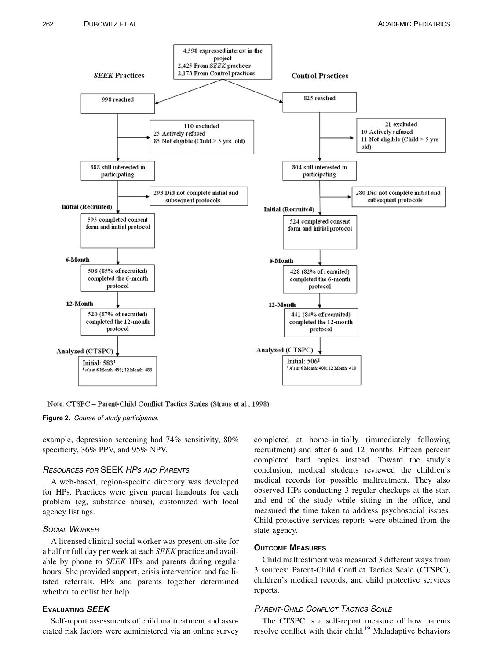<span id="page-3-0"></span>

Note: CTSPC = Parent-Child Conflict Tactics Scales (Straus et al., 1998).

#### Figure 2. Course of study participants.

example, depression screening had 74% sensitivity, 80% specificity, 36% PPV, and 95% NPV.

# RESOURCES FOR SEEK HPS AND PARENTS

A web-based, region-specific directory was developed for HPs. Practices were given parent handouts for each problem (eg, substance abuse), customized with local agency listings.

# **SOCIAL WORKER**

A licensed clinical social worker was present on-site for a half or full day per week at each SEEK practice and available by phone to SEEK HPs and parents during regular hours. She provided support, crisis intervention and facilitated referrals. HPs and parents together determined whether to enlist her help.

# **EVALUATING SEEK**

Self-report assessments of child maltreatment and associated risk factors were administered via an online survey

completed at home–initially (immediately following recruitment) and after 6 and 12 months. Fifteen percent completed hard copies instead. Toward the study's conclusion, medical students reviewed the children's medical records for possible maltreatment. They also observed HPs conducting 3 regular checkups at the start and end of the study while sitting in the office, and measured the time taken to address psychosocial issues. Child protective services reports were obtained from the state agency.

# OUTCOME MEASURES

Child maltreatment was measured 3 different ways from 3 sources: Parent-Child Conflict Tactics Scale (CTSPC), children's medical records, and child protective services reports.

# **PARENT-CHILD CONFLICT TACTICS SCALE**

The CTSPC is a self-report measure of how parents resolve conflict with their child.<sup>[19](#page-8-0)</sup> Maladaptive behaviors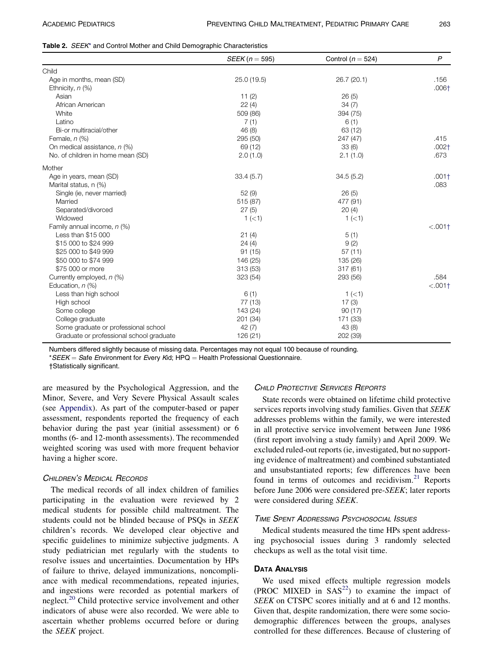<span id="page-4-0"></span>

|  |  |  |  |  |  |  | <b>Table 2.</b> SEEK <sup>*</sup> and Control Mother and Child Demographic Characteristics |
|--|--|--|--|--|--|--|--------------------------------------------------------------------------------------------|
|--|--|--|--|--|--|--|--------------------------------------------------------------------------------------------|

|                                          | $SEEK(n = 595)$ | Control ( $n = 524$ ) | $\overline{P}$ |
|------------------------------------------|-----------------|-----------------------|----------------|
| Child                                    |                 |                       |                |
| Age in months, mean (SD)                 | 25.0 (19.5)     | 26.7 (20.1)           | .156           |
| Ethnicity, $n$ (%)                       |                 |                       | $.006+$        |
| Asian                                    | 11(2)           | 26(5)                 |                |
| African American                         | 22(4)           | 34(7)                 |                |
| White                                    | 509 (86)        | 394 (75)              |                |
| Latino                                   | 7(1)            | 6(1)                  |                |
| Bi-or multiracial/other                  | 46 (8)          | 63 (12)               |                |
| Female, $n$ (%)                          | 295 (50)        | 247 (47)              | .415           |
| On medical assistance, n (%)             | 69 (12)         | 33(6)                 | $.002+$        |
| No. of children in home mean (SD)        | 2.0(1.0)        | 2.1(1.0)              | .673           |
| Mother                                   |                 |                       |                |
| Age in years, mean (SD)                  | 33.4(5.7)       | 34.5(5.2)             | $.001+$        |
| Marital status, n (%)                    |                 |                       | .083           |
| Single (ie, never married)               | 52 (9)          | 26(5)                 |                |
| Married                                  | 515 (87)        | 477 (91)              |                |
| Separated/divorced                       | 27(5)           | 20(4)                 |                |
| Widowed                                  | 1 (< 1)         | 1 (< 1)               |                |
| Family annual income, n (%)              |                 |                       | $< .001+$      |
| Less than \$15 000                       | 21(4)           | 5(1)                  |                |
| \$15 000 to \$24 999                     | 24(4)           | 9(2)                  |                |
| \$25 000 to \$49 999                     | 91(15)          | 57(11)                |                |
| \$50 000 to \$74 999                     | 146 (25)        | 135 (26)              |                |
| \$75 000 or more                         | 313 (53)        | 317(61)               |                |
| Currently employed, n (%)                | 323 (54)        | 293 (56)              | .584           |
| Education, $n$ (%)                       |                 |                       | $< .001+$      |
| Less than high school                    | 6(1)            | 1(<1)                 |                |
| High school                              | 77 (13)         | 17(3)                 |                |
| Some college                             | 143 (24)        | 90(17)                |                |
| College graduate                         | 201 (34)        | 171 (33)              |                |
| Some graduate or professional school     | 42(7)           | 43 (8)                |                |
| Graduate or professional school graduate | 126(21)         | 202 (39)              |                |

Numbers differed slightly because of missing data. Percentages may not equal 100 because of rounding. \*SEEK = Safe Environment for Every Kid; HPQ = Health Professional Questionnaire.

†Statistically significant.

are measured by the Psychological Aggression, and the Minor, Severe, and Very Severe Physical Assault scales (see Appendix). As part of the computer-based or paper assessment, respondents reported the frequency of each behavior during the past year (initial assessment) or 6 months (6- and 12-month assessments). The recommended weighted scoring was used with more frequent behavior having a higher score.

# CHILDREN'S MEDICAL RECORDS

The medical records of all index children of families participating in the evaluation were reviewed by 2 medical students for possible child maltreatment. The students could not be blinded because of PSQs in SEEK children's records. We developed clear objective and specific guidelines to minimize subjective judgments. A study pediatrician met regularly with the students to resolve issues and uncertainties. Documentation by HPs of failure to thrive, delayed immunizations, noncompliance with medical recommendations, repeated injuries, and ingestions were recorded as potential markers of neglect.<sup>[20](#page-8-0)</sup> Child protective service involvement and other indicators of abuse were also recorded. We were able to ascertain whether problems occurred before or during the SEEK project.

# CHILD PROTECTIVE SERVICES REPORTS

State records were obtained on lifetime child protective services reports involving study families. Given that SEEK addresses problems within the family, we were interested in all protective service involvement between June 1986 (first report involving a study family) and April 2009. We excluded ruled-out reports (ie, investigated, but no supporting evidence of maltreatment) and combined substantiated and unsubstantiated reports; few differences have been found in terms of outcomes and recidivism.<sup>[21](#page-8-0)</sup> Reports before June 2006 were considered pre-SEEK; later reports were considered during SEEK.

#### TIME SPENT ADDRESSING PSYCHOSOCIAL ISSUES

Medical students measured the time HPs spent addressing psychosocial issues during 3 randomly selected checkups as well as the total visit time.

#### DATA ANALYSIS

We used mixed effects multiple regression models (PROC MIXED in  $SAS<sup>22</sup>$ ) to examine the impact of SEEK on CTSPC scores initially and at 6 and 12 months. Given that, despite randomization, there were some sociodemographic differences between the groups, analyses controlled for these differences. Because of clustering of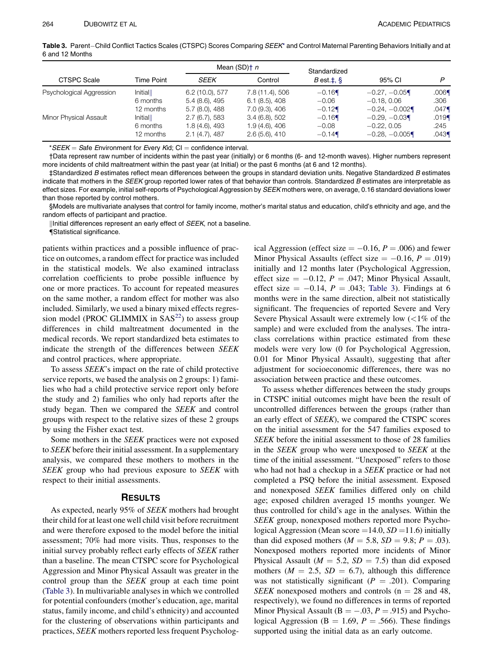Table 3. Parent-Child Conflict Tactics Scales (CTSPC) Scores Comparing SEEK\* and Control Maternal Parenting Behaviors Initially and at 6 and 12 Months

|                          |                   |                  | Mean $(SD)$ † <i>n</i> | Standardized            |                 |          |
|--------------------------|-------------------|------------------|------------------------|-------------------------|-----------------|----------|
| <b>CTSPC Scale</b>       | <b>Time Point</b> | <b>SEEK</b>      | Control                | $B$ est. $\ddagger$ , § | 95% CI          | P        |
| Psychological Aggression | Initial           | 6.2(10.0), 577   | 7.8 (11.4), 506        | $-0.16$                 | $-0.27, -0.05$  | $.006\P$ |
|                          | 6 months          | 5.4 (8.6), 495   | $6.1$ $(8.5)$ , 408    | $-0.06$                 | $-0.18, 0.06$   | .306     |
|                          | 12 months         | $5.7(8.0)$ , 488 | 7.0 (9.3), 406         | $-0.12$                 | $-0.24, -0.002$ | .047     |
| Minor Physical Assault   | Initial           | 2.7(6.7), 583    | 3.4(6.8), 502          | $-0.16$                 | $-0.29, -0.03$  | .019     |
|                          | 6 months          | 1.8 (4.6), 493   | $1.9(4.6)$ , 406       | $-0.08$                 | $-0.22, 0.05$   | .245     |
|                          | 12 months         | 2.1(4.7), 487    | 2.6(5.6), 410          | $-0.14$                 | $-0.28, -0.005$ | .043     |

\*SEEK = Safe Environment for Every Kid; CI = confidence interval.

†Data represent raw number of incidents within the past year (initially) or 6 months (6- and 12-month waves). Higher numbers represent more incidents of child maltreatment within the past year (at Initial) or the past 6 months (at 6 and 12 months).

‡Standardized B estimates reflect mean differences between the groups in standard deviation units. Negative Standardized B estimates indicate that mothers in the SEEK group reported lower rates of that behavior than controls. Standardized B estimates are interpretable as effect sizes. For example, initial self-reports of Psychological Aggression by SEEK mothers were, on average, 0.16 standard deviations lower than those reported by control mothers.

§Models are multivariate analyses that control for family income, mother's marital status and education, child's ethnicity and age, and the random effects of participant and practice.

||Initial differences represent an early effect of SEEK, not a baseline.

{Statistical significance.

patients within practices and a possible influence of practice on outcomes, a random effect for practice was included in the statistical models. We also examined intraclass correlation coefficients to probe possible influence by one or more practices. To account for repeated measures on the same mother, a random effect for mother was also included. Similarly, we used a binary mixed effects regression model (PROC GLIMMIX in  $SAS<sup>22</sup>$  $SAS<sup>22</sup>$  $SAS<sup>22</sup>$ ) to assess group differences in child maltreatment documented in the medical records. We report standardized beta estimates to indicate the strength of the differences between SEEK and control practices, where appropriate.

To assess SEEK's impact on the rate of child protective service reports, we based the analysis on 2 groups: 1) families who had a child protective service report only before the study and 2) families who only had reports after the study began. Then we compared the SEEK and control groups with respect to the relative sizes of these 2 groups by using the Fisher exact test.

Some mothers in the SEEK practices were not exposed to SEEK before their initial assessment. In a supplementary analysis, we compared these mothers to mothers in the SEEK group who had previous exposure to SEEK with respect to their initial assessments.

#### RESULTS

As expected, nearly 95% of SEEK mothers had brought their child for at least one well child visit before recruitment and were therefore exposed to the model before the initial assessment; 70% had more visits. Thus, responses to the initial survey probably reflect early effects of SEEK rather than a baseline. The mean CTSPC score for Psychological Aggression and Minor Physical Assault was greater in the control group than the SEEK group at each time point (Table 3). In multivariable analyses in which we controlled for potential confounders (mother's education, age, marital status, family income, and child's ethnicity) and accounted for the clustering of observations within participants and practices, SEEK mothers reported less frequent Psycholog-

ical Aggression (effect size  $= -0.16$ ,  $P = .006$ ) and fewer Minor Physical Assaults (effect size  $= -0.16$ ,  $P = .019$ ) initially and 12 months later (Psychological Aggression, effect size  $= -0.12$ ,  $P = .047$ ; Minor Physical Assault, effect size  $= -0.14$ ,  $P = .043$ ; Table 3). Findings at 6 months were in the same direction, albeit not statistically significant. The frequencies of reported Severe and Very Severe Physical Assault were extremely low  $\left( \langle 1\% \rangle \right)$  of the sample) and were excluded from the analyses. The intraclass correlations within practice estimated from these models were very low (0 for Psychological Aggression, 0.01 for Minor Physical Assault), suggesting that after adjustment for socioeconomic differences, there was no association between practice and these outcomes.

To assess whether differences between the study groups in CTSPC initial outcomes might have been the result of uncontrolled differences between the groups (rather than an early effect of SEEK), we compared the CTSPC scores on the initial assessment for the 547 families exposed to SEEK before the initial assessment to those of 28 families in the SEEK group who were unexposed to SEEK at the time of the initial assessment. "Unexposed" refers to those who had not had a checkup in a *SEEK* practice or had not completed a PSQ before the initial assessment. Exposed and nonexposed SEEK families differed only on child age; exposed children averaged 15 months younger. We thus controlled for child's age in the analyses. Within the SEEK group, nonexposed mothers reported more Psychological Aggression (Mean score = 14.0,  $SD = 11.6$ ) initially than did exposed mothers ( $M = 5.8$ ,  $SD = 9.8$ ;  $P = .03$ ). Nonexposed mothers reported more incidents of Minor Physical Assault ( $M = 5.2$ ,  $SD = 7.5$ ) than did exposed mothers ( $M = 2.5$ ,  $SD = 6.7$ ), although this difference was not statistically significant ( $P = .201$ ). Comparing SEEK nonexposed mothers and controls ( $n = 28$  and 48, respectively), we found no differences in terms of reported Minor Physical Assault ( $B = -.03$ ,  $P = .915$ ) and Psychological Aggression ( $B = 1.69$ ,  $P = .566$ ). These findings supported using the initial data as an early outcome.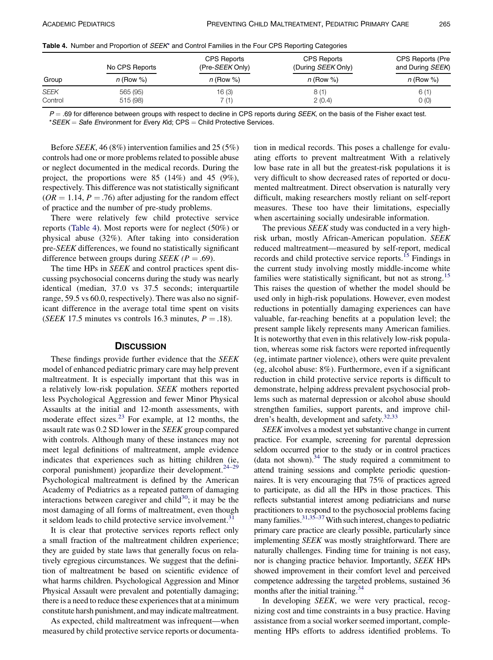Table 4. Number and Proportion of SEEK\* and Control Families in the Four CPS Reporting Categories

|             | No CPS Reports | <b>CPS Reports</b><br>(Pre-SEEK Only) | <b>CPS Reports</b><br>(During <i>SEEK</i> Only) | CPS Reports (Pre<br>and During SEEK) |
|-------------|----------------|---------------------------------------|-------------------------------------------------|--------------------------------------|
| Group       | $n$ (Row %)    | $n$ (Row %)                           | $n$ (Row %)                                     | $n$ (Row %)                          |
| <b>SEEK</b> | 565 (95)       | 16 (3)                                | 8(1)                                            | 6(1)                                 |
| Control     | 515 (98)       | 7 (1)                                 | 2(0.4)                                          | O(0)                                 |

 $P = .69$  for difference between groups with respect to decline in CPS reports during SEEK, on the basis of the Fisher exact test. \*SEEK = Safe Environment for Every Kid; CPS = Child Protective Services.

Before SEEK, 46 (8%) intervention families and 25 (5%) controls had one or more problems related to possible abuse or neglect documented in the medical records. During the project, the proportions were 85 (14%) and 45 (9%), respectively. This difference was not statistically significant  $(OR = 1.14, P = .76)$  after adjusting for the random effect of practice and the number of pre-study problems.

There were relatively few child protective service reports (Table 4). Most reports were for neglect (50%) or physical abuse (32%). After taking into consideration pre-SEEK differences, we found no statistically significant difference between groups during *SEEK* ( $P = .69$ ).

The time HPs in *SEEK* and control practices spent discussing psychosocial concerns during the study was nearly identical (median, 37.0 vs 37.5 seconds; interquartile range, 59.5 vs 60.0, respectively). There was also no significant difference in the average total time spent on visits (SEEK 17.5 minutes vs controls 16.3 minutes,  $P = .18$ ).

## **DISCUSSION**

These findings provide further evidence that the SEEK model of enhanced pediatric primary care may help prevent maltreatment. It is especially important that this was in a relatively low-risk population. SEEK mothers reported less Psychological Aggression and fewer Minor Physical Assaults at the initial and 12-month assessments, with moderate effect sizes. $^{23}$  $^{23}$  $^{23}$  For example, at 12 months, the assault rate was 0.2 SD lower in the SEEK group compared with controls. Although many of these instances may not meet legal definitions of maltreatment, ample evidence indicates that experiences such as hitting children (ie, corporal punishment) jeopardize their development. $24-29$ Psychological maltreatment is defined by the American Academy of Pediatrics as a repeated pattern of damaging interactions between caregiver and child<sup>30</sup>; it may be the most damaging of all forms of maltreatment, even though it seldom leads to child protective service involvement.<sup>31</sup>

It is clear that protective services reports reflect only a small fraction of the maltreatment children experience; they are guided by state laws that generally focus on relatively egregious circumstances. We suggest that the definition of maltreatment be based on scientific evidence of what harms children. Psychological Aggression and Minor Physical Assault were prevalent and potentially damaging; there is a need to reduce these experiences that at a minimum constitute harsh punishment, and may indicate maltreatment.

As expected, child maltreatment was infrequent—when measured by child protective service reports or documentation in medical records. This poses a challenge for evaluating efforts to prevent maltreatment With a relatively low base rate in all but the greatest-risk populations it is very difficult to show decreased rates of reported or documented maltreatment. Direct observation is naturally very difficult, making researchers mostly reliant on self-report measures. These too have their limitations, especially when ascertaining socially undesirable information.

The previous *SEEK* study was conducted in a very highrisk urban, mostly African-American population. SEEK reduced maltreatment—measured by self-report, medical records and child protective service reports.[15](#page-8-0) Findings in the current study involving mostly middle-income white families were statistically significant, but not as strong.<sup>[15](#page-8-0)</sup> This raises the question of whether the model should be used only in high-risk populations. However, even modest reductions in potentially damaging experiences can have valuable, far-reaching benefits at a population level; the present sample likely represents many American families. It is noteworthy that even in this relatively low-risk population, whereas some risk factors were reported infrequently (eg, intimate partner violence), others were quite prevalent (eg, alcohol abuse: 8%). Furthermore, even if a significant reduction in child protective service reports is difficult to demonstrate, helping address prevalent psychosocial problems such as maternal depression or alcohol abuse should strengthen families, support parents, and improve chil-dren's health, development and safety.<sup>[32,33](#page-8-0)</sup>

SEEK involves a modest yet substantive change in current practice. For example, screening for parental depression seldom occurred prior to the study or in control practices (data not shown). $34$  The study required a commitment to attend training sessions and complete periodic questionnaires. It is very encouraging that 75% of practices agreed to participate, as did all the HPs in those practices. This reflects substantial interest among pediatricians and nurse practitioners to respond to the psychosocial problems facing many families.<sup>31,35–37</sup> With such interest, changes to pediatric primary care practice are clearly possible, particularly since implementing SEEK was mostly straightforward. There are naturally challenges. Finding time for training is not easy, nor is changing practice behavior. Importantly, SEEK HPs showed improvement in their comfort level and perceived competence addressing the targeted problems, sustained 36 months after the initial training.<sup>[34](#page-8-0)</sup>

In developing SEEK, we were very practical, recognizing cost and time constraints in a busy practice. Having assistance from a social worker seemed important, complementing HPs efforts to address identified problems. To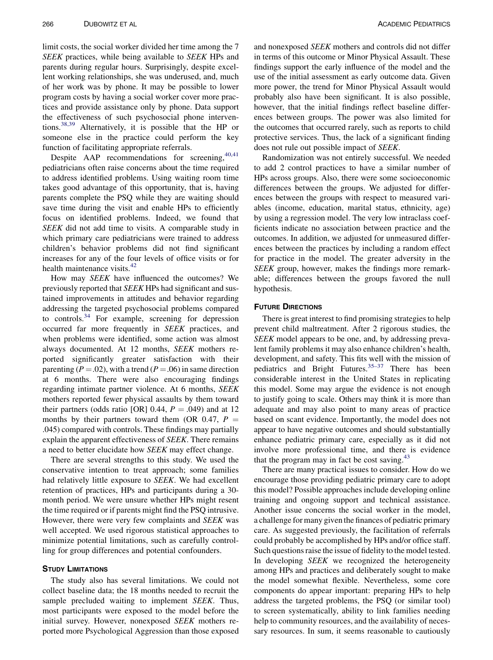limit costs, the social worker divided her time among the 7 SEEK practices, while being available to SEEK HPs and parents during regular hours. Surprisingly, despite excellent working relationships, she was underused, and, much of her work was by phone. It may be possible to lower program costs by having a social worker cover more practices and provide assistance only by phone. Data support the effectiveness of such psychosocial phone interventions.[38,39](#page-8-0) Alternatively, it is possible that the HP or someone else in the practice could perform the key function of facilitating appropriate referrals.

Despite AAP recommendations for screening, [40,41](#page-8-0) pediatricians often raise concerns about the time required to address identified problems. Using waiting room time takes good advantage of this opportunity, that is, having parents complete the PSQ while they are waiting should save time during the visit and enable HPs to efficiently focus on identified problems. Indeed, we found that SEEK did not add time to visits. A comparable study in which primary care pediatricians were trained to address children's behavior problems did not find significant increases for any of the four levels of office visits or for health maintenance visits.<sup>[42](#page-8-0)</sup>

How may SEEK have influenced the outcomes? We previously reported that SEEK HPs had significant and sustained improvements in attitudes and behavior regarding addressing the targeted psychosocial problems compared to controls.<sup>[34](#page-8-0)</sup> For example, screening for depression occurred far more frequently in SEEK practices, and when problems were identified, some action was almost always documented. At 12 months, SEEK mothers reported significantly greater satisfaction with their parenting ( $P = .02$ ), with a trend ( $P = .06$ ) in same direction at 6 months. There were also encouraging findings regarding intimate partner violence. At 6 months, SEEK mothers reported fewer physical assaults by them toward their partners (odds ratio [OR] 0.44,  $P = .049$ ) and at 12 months by their partners toward them (OR 0.47,  $P =$ .045) compared with controls. These findings may partially explain the apparent effectiveness of SEEK. There remains a need to better elucidate how SEEK may effect change.

There are several strengths to this study. We used the conservative intention to treat approach; some families had relatively little exposure to SEEK. We had excellent retention of practices, HPs and participants during a 30 month period. We were unsure whether HPs might resent the time required or if parents might find the PSQ intrusive. However, there were very few complaints and SEEK was well accepted. We used rigorous statistical approaches to minimize potential limitations, such as carefully controlling for group differences and potential confounders.

#### STUDY LIMITATIONS

The study also has several limitations. We could not collect baseline data; the 18 months needed to recruit the sample precluded waiting to implement SEEK. Thus, most participants were exposed to the model before the initial survey. However, nonexposed SEEK mothers reported more Psychological Aggression than those exposed

and nonexposed SEEK mothers and controls did not differ in terms of this outcome or Minor Physical Assault. These findings support the early influence of the model and the use of the initial assessment as early outcome data. Given more power, the trend for Minor Physical Assault would probably also have been significant. It is also possible, however, that the initial findings reflect baseline differences between groups. The power was also limited for the outcomes that occurred rarely, such as reports to child protective services. Thus, the lack of a significant finding does not rule out possible impact of SEEK.

Randomization was not entirely successful. We needed to add 2 control practices to have a similar number of HPs across groups. Also, there were some socioeconomic differences between the groups. We adjusted for differences between the groups with respect to measured variables (income, education, marital status, ethnicity, age) by using a regression model. The very low intraclass coefficients indicate no association between practice and the outcomes. In addition, we adjusted for unmeasured differences between the practices by including a random effect for practice in the model. The greater adversity in the SEEK group, however, makes the findings more remarkable; differences between the groups favored the null hypothesis.

## FUTURE DIRECTIONS

There is great interest to find promising strategies to help prevent child maltreatment. After 2 rigorous studies, the SEEK model appears to be one, and, by addressing prevalent family problems it may also enhance children's health, development, and safety. This fits well with the mission of pediatrics and Bright Futures.<sup>[35–37](#page-8-0)</sup> There has been considerable interest in the United States in replicating this model. Some may argue the evidence is not enough to justify going to scale. Others may think it is more than adequate and may also point to many areas of practice based on scant evidence. Importantly, the model does not appear to have negative outcomes and should substantially enhance pediatric primary care, especially as it did not involve more professional time, and there is evidence that the program may in fact be cost saving. $43$ 

There are many practical issues to consider. How do we encourage those providing pediatric primary care to adopt this model? Possible approaches include developing online training and ongoing support and technical assistance. Another issue concerns the social worker in the model, a challenge for many given the finances of pediatric primary care. As suggested previously, the facilitation of referrals could probably be accomplished by HPs and/or office staff. Such questions raise the issue of fidelity to the model tested. In developing *SEEK* we recognized the heterogeneity among HPs and practices and deliberately sought to make the model somewhat flexible. Nevertheless, some core components do appear important: preparing HPs to help address the targeted problems, the PSQ (or similar tool) to screen systematically, ability to link families needing help to community resources, and the availability of necessary resources. In sum, it seems reasonable to cautiously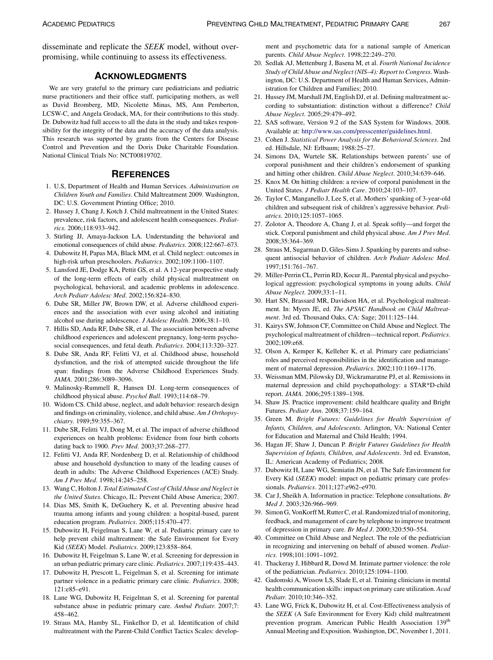<span id="page-8-0"></span>disseminate and replicate the SEEK model, without overpromising, while continuing to assess its effectiveness.

# ACKNOWLEDGMENTS

We are very grateful to the primary care pediatricians and pediatric nurse practitioners and their office staff, participating mothers, as well as David Bromberg, MD, Nicolette Minas, MS, Ann Pemberton, LCSW-C, and Angela Grodack, MA, for their contributions to this study. Dr. Dubowitz had full access to all the data in the study and takes responsibility for the integrity of the data and the accuracy of the data analysis. This research was supported by grants from the Centers for Disease Control and Prevention and the Doris Duke Charitable Foundation. National Clinical Trials No: NCT00819702.

# **REFERENCES**

- 1. U.S, Department of Health and Human Services. Administration on Children Youth and Families. Child Maltreatment 2009. Washington, DC: U.S. Government Printing Office; 2010.
- 2. Hussey J, Chang J, Kotch J. Child maltreatment in the United States: prevalence, risk factors, and adolescent health consequences. Pediatrics. 2006;118:933–942.
- 3. Stirling JJ, Amaya-Jackson LA. Understanding the behavioral and emotional consequences of child abuse. Pediatrics. 2008;122:667–673.
- 4. Dubowitz H, Papas MA, Black MM, et al. Child neglect: outcomes in high-risk urban preschoolers. Pediatrics. 2002;109:1100–1107.
- 5. Lansford JE, Dodge KA, Pettit GS, et al. A 12-year prospective study of the long-term effects of early child physical maltreatment on psychological, behavioral, and academic problems in adolescence. Arch Pediatr Adolesc Med. 2002;156:824–830.
- 6. Dube SR, Miller JW, Brown DW, et al. Adverse childhood experiences and the association with ever using alcohol and initiating alcohol use during adolescence. J Adolesc Health. 2006;38:1-10.
- 7. Hillis SD, Anda RF, Dube SR, et al. The association between adverse childhood experiences and adolescent pregnancy, long-term psychosocial consequences, and fetal death. Pediatrics. 2004;113:320-327.
- 8. Dube SR, Anda RF, Felitti VJ, et al. Childhood abuse, household dysfunction, and the risk of attempted suicide throughout the life span: findings from the Adverse Childhood Experiences Study. JAMA. 2001;286:3089–3096.
- 9. Malinosky-Rummell R, Hansen DJ. Long-term consequences of childhood physical abuse. Psychol Bull. 1993;114:68–79.
- 10. Widom CS. Child abuse, neglect, and adult behavior: research design and findings on criminality, violence, and child abuse. Am J Orthopsychiatry. 1989;59:355–367.
- 11. Dube SR, Felitti VJ, Dong M, et al. The impact of adverse childhood experiences on health problems: Evidence from four birth cohorts dating back to 1900. Prev Med. 2003;37:268–277.
- 12. Felitti VJ, Anda RF, Nordenberg D, et al. Relationship of childhood abuse and household dysfunction to many of the leading causes of death in adults: The Adverse Childhood Experiences (ACE) Study. Am J Prev Med. 1998;14:245–258.
- 13. Wang C, Holton J. Total Estimated Cost of Child Abuse and Neglect in the United States. Chicago, IL: Prevent Child Abuse America; 2007.
- 14. Dias MS, Smith K, DeGuehery K, et al. Preventing abusive head trauma among infants and young children: a hospital-based, parent education program. Pediatrics. 2005;115:470–477.
- 15. Dubowitz H, Feigelman S, Lane W, et al. Pediatric primary care to help prevent child maltreatment: the Safe Environment for Every Kid (SEEK) Model. Pediatrics. 2009;123:858–864.
- 16. Dubowitz H, Feigelman S, Lane W, et al. Screening for depression in an urban pediatric primary care clinic. Pediatrics. 2007;119:435–443.
- 17. Dubowitz H, Prescott L, Feigelman S, et al. Screening for intimate partner violence in a pediatric primary care clinic. Pediatrics. 2008; 121:e85–e91.
- 18. Lane WG, Dubowitz H, Feigelman S, et al. Screening for parental substance abuse in pediatric primary care. Ambul Pediatr. 2007;7: 458–462.
- 19. Straus MA, Hamby SL, Finkelhor D, et al. Identification of child maltreatment with the Parent-Child Conflict Tactics Scales: develop-

ment and psychometric data for a national sample of American parents. Child Abuse Neglect. 1998;22:249–270.

- 20. Sedlak AJ, Mettenburg J, Basena M, et al. Fourth National Incidence Study of Child Abuse and Neglect (NIS–4): Report to Congress. Washington, DC: U.S. Department of Health and Human Services, Administration for Children and Families; 2010.
- 21. Hussey JM, Marshall JM, English DJ, et al. Defining maltreatment according to substantiation: distinction without a difference? Child Abuse Neglect. 2005;29:479–492.
- 22. SAS software, Version 9.2 of the SAS System for Windows. 2008. Available at: [http://www.sas.com/presscenter/guidelines.html.](http://www.sas.com/presscenter/guidelines.html)
- 23. Cohen J. Statistical Power Analysis for the Behavioral Sciences. 2nd ed. Hillsdale, NJ: Erlbaum; 1988:25–27.
- 24. Simons DA, Wurtele SK. Relationships between parents' use of corporal punishment and their children's endorsement of spanking and hitting other children. Child Abuse Neglect. 2010;34:639–646.
- 25. Knox M. On hitting children: a review of corporal punishment in the United States. J Pediatr Health Care. 2010;24:103–107.
- 26. Taylor C, Manganello J, Lee S, et al. Mothers' spanking of 3-year-old children and subsequent risk of children's aggressive behavior. Pediatrics. 2010;125:1057–1065.
- 27. Zolotor A, Theodore A, Chang J, et al. Speak softly—and forget the stick. Corporal punishment and child physical abuse. Am J Prev Med. 2008;35:364–369.
- 28. Straus M, Sugarman D, Giles-Sims J. Spanking by parents and subsequent antisocial behavior of children. Arch Pediatr Adolesc Med. 1997;151:761–767.
- 29. Miller-Perrin CL, Perrin RD, Kocur JL. Parental physical and psychological aggression: psychological symptoms in young adults. Child Abuse Neglect. 2009;33:1–11.
- 30. Hart SN, Brassard MR, Davidson HA, et al. Psychological maltreatment. In: Myers JE, ed. The APSAC Handbook on Child Maltreatment. 3rd ed. Thousand Oaks, CA: Sage; 2011:125–144.
- 31. Kairys SW, Johnson CF, Committee on Child Abuse and Neglect. The psychological maltreatment of children—technical report. Pediatrics. 2002;109:e68.
- 32. Olson A, Kemper K, Kelleher K, et al. Primary care pediatricians' roles and perceived responsibilities in the identification and management of maternal depression. Pediatrics. 2002;110:1169–1176.
- 33. Weissman MM, Pilowsky DJ, Wickramaratne PJ, et al. Remissions in maternal depression and child psychopathology: a STAR\*D-child report. JAMA. 2006;295:1389–1398.
- 34. Shaw JS. Practice improvement: child healthcare quality and Bright Futures. Pediatr Ann. 2008;37:159–164.
- 35. Green M. Bright Futures: Guidelines for Health Supervision of Infants, Children, and Adolescents. Arlington, VA: National Center for Education and Maternal and Child Health; 1994.
- 36. Hagan JF, Shaw J, Duncan P. Bright Futures Guidelines for Health Supervision of Infants, Children, and Adolescents. 3rd ed. Evanston, IL: American Academy of Pediatrics; 2008.
- 37. Dubowitz H, Lane WG, Semiatin JN, et al. The Safe Environment for Every Kid (SEEK) model: impact on pediatric primary care professionals. Pediatrics. 2011;127:e962–e970.
- 38. Car J, Sheikh A. Information in practice: Telephone consultations. Br Med J. 2003;326:966–969.
- 39. Simon G, VonKorff M, Rutter C, et al. Randomized trial of monitoring, feedback, and management of care by telephone to improve treatment of depression in primary care. Br Med J. 2000;320:550–554.
- 40. Committee on Child Abuse and Neglect. The role of the pediatrician in recognizing and intervening on behalf of abused women. Pediatrics. 1998;101:1091–1092.
- 41. Thackeray J, Hibbard R, Dowd M. Intimate partner violence: the role of the pediatrician. Pediatrics. 2010;125:1094–1100.
- 42. Gadomski A, Wissow LS, Slade E, et al. Training clinicians in mental health communication skills: impact on primary care utilization. Acad Pediatr. 2010;10:346–352.
- 43. Lane WG, Frick K, Dubowitz H, et al. Cost-Effectiveness analysis of the SEEK (A Safe Environment for Every Kid) child maltreatment prevention program. American Public Health Association 139<sup>th</sup> Annual Meeting and Exposition. Washington, DC, November 1, 2011.